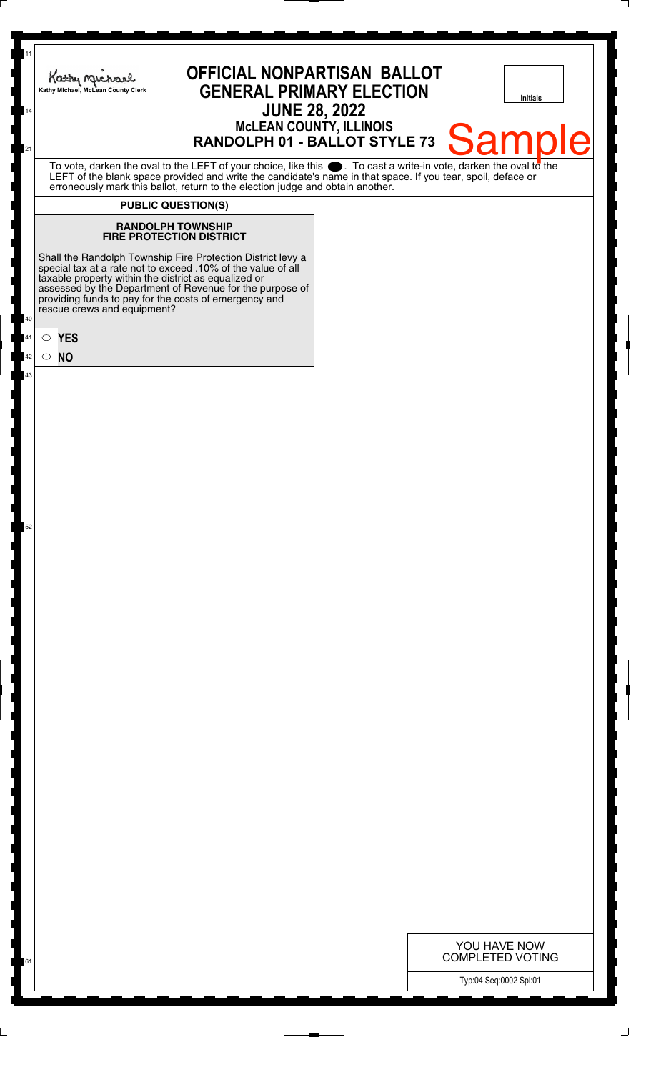| 11<br>14 | <b>OFFICIAL NONPARTISAN BALLOT</b><br>Kathy Michael<br><b>GENERAL PRIMARY ELECTION</b><br>Kathy Michael, McLean County Clerk<br><b>JUNE 28, 2022</b>                                                                                                                                                                                    | Initials                                                        |
|----------|-----------------------------------------------------------------------------------------------------------------------------------------------------------------------------------------------------------------------------------------------------------------------------------------------------------------------------------------|-----------------------------------------------------------------|
| 21       |                                                                                                                                                                                                                                                                                                                                         | MCLEAN COUNTY, ILLINOIS<br>RANDOLPH 01 - BALLOT STYLE 73 Sample |
|          | To vote, darken the oval to the LEFT of your choice, like this . To cast a write-in vote, darken the oval to the<br>LEFT of the blank space provided and write the candidate's name in that space. If you tear, spoil, deface or<br>erroneously mark this ballot, return to the election judge and obtain another.                      |                                                                 |
|          | <b>PUBLIC QUESTION(S)</b>                                                                                                                                                                                                                                                                                                               |                                                                 |
|          | <b>RANDOLPH TOWNSHIP</b><br><b>FIRE PROTECTION DISTRICT</b>                                                                                                                                                                                                                                                                             |                                                                 |
| 40       | Shall the Randolph Township Fire Protection District levy a<br>special tax at a rate not to exceed .10% of the value of all<br>taxable property within the district as equalized or<br>assessed by the Department of Revenue for the purpose of<br>providing funds to pay for the costs of emergency and<br>rescue crews and equipment? |                                                                 |
| $41\,$   | $\circ$ YES                                                                                                                                                                                                                                                                                                                             |                                                                 |
| 42       | $\circ$ NO                                                                                                                                                                                                                                                                                                                              |                                                                 |
| 43       |                                                                                                                                                                                                                                                                                                                                         |                                                                 |
|          |                                                                                                                                                                                                                                                                                                                                         |                                                                 |
| 52       |                                                                                                                                                                                                                                                                                                                                         |                                                                 |
|          |                                                                                                                                                                                                                                                                                                                                         |                                                                 |
|          |                                                                                                                                                                                                                                                                                                                                         |                                                                 |
|          |                                                                                                                                                                                                                                                                                                                                         |                                                                 |
|          |                                                                                                                                                                                                                                                                                                                                         |                                                                 |
|          |                                                                                                                                                                                                                                                                                                                                         |                                                                 |
|          |                                                                                                                                                                                                                                                                                                                                         |                                                                 |
|          |                                                                                                                                                                                                                                                                                                                                         |                                                                 |
|          |                                                                                                                                                                                                                                                                                                                                         |                                                                 |
|          |                                                                                                                                                                                                                                                                                                                                         |                                                                 |
|          |                                                                                                                                                                                                                                                                                                                                         |                                                                 |
|          |                                                                                                                                                                                                                                                                                                                                         |                                                                 |
|          |                                                                                                                                                                                                                                                                                                                                         | YOU HAVE NOW<br><b>COMPLETED VOTING</b>                         |
| 61       |                                                                                                                                                                                                                                                                                                                                         | Typ:04 Seq:0002 Spl:01                                          |

 $\perp$ 

 $\overline{\phantom{a}}$ 

┆

 $\overline{\phantom{a}}$